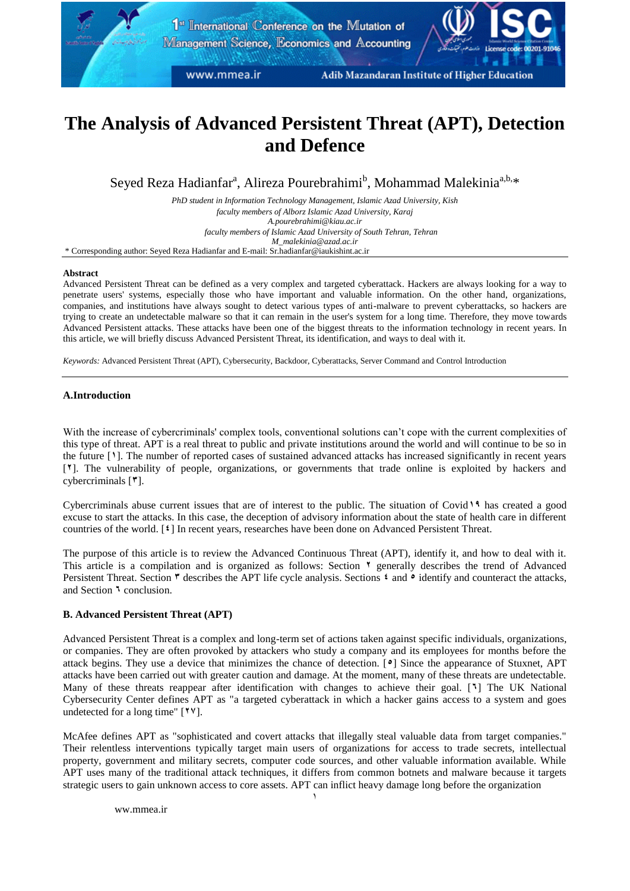# **The Analysis of Advanced Persistent Threat (APT), Detection and Defence**

Seyed Reza Hadianfar<sup>a</sup>, Alireza Pourebrahimi<sup>b</sup>, Mohammad Malekinia<sup>a,b,</sup>\*

*PhD student in Information Technology Management, Islamic Azad University, Kish faculty members of Alborz Islamic Azad University, Karaj A.pourebrahimi@kiau.ac.ir faculty members of Islamic Azad University of South Tehran, Tehran [M\\_malekinia@azad.ac.ir](mailto:M_malekinia@azad.ac.ir)* \* Corresponding author: Seyed Reza Hadianfar and E-mail: Sr.hadianfar@iaukishint.ac.ir

#### **Abstract**

Advanced Persistent Threat can be defined as a very complex and targeted cyberattack. Hackers are always looking for a way to penetrate users' systems, especially those who have important and valuable information. On the other hand, organizations, companies, and institutions have always sought to detect various types of anti-malware to prevent cyberattacks, so hackers are trying to create an undetectable malware so that it can remain in the user's system for a long time. Therefore, they move towards Advanced Persistent attacks. These attacks have been one of the biggest threats to the information technology in recent years. In this article, we will briefly discuss Advanced Persistent Threat, its identification, and ways to deal with it.

*Keywords:* Advanced Persistent Threat (APT), Cybersecurity, Backdoor, Cyberattacks, Server Command and Control Introduction

### **A.Introduction**

With the increase of cybercriminals' complex tools, conventional solutions can't cope with the current complexities of this type of threat. APT is a real threat to public and private institutions around the world and will continue to be so in the future [**1**]. The number of reported cases of sustained advanced attacks has increased significantly in recent years [**2**]. The vulnerability of people, organizations, or governments that trade online is exploited by hackers and cybercriminals [**3**].

Cybercriminals abuse current issues that are of interest to the public. The situation of Covid**11** has created a good excuse to start the attacks. In this case, the deception of advisory information about the state of health care in different countries of the world. [**4**] In recent years, researches have been done on Advanced Persistent Threat.

The purpose of this article is to review the Advanced Continuous Threat (APT), identify it, and how to deal with it. This article is a compilation and is organized as follows: Section **2** generally describes the trend of Advanced Persistent Threat. Section **\*** describes the APT life cycle analysis. Sections **4** and **<sup>5</sup>** identify and counteract the attacks, and Section **1** conclusion.

# **B. Advanced Persistent Threat (APT)**

Advanced Persistent Threat is a complex and long-term set of actions taken against specific individuals, organizations, or companies. They are often provoked by attackers who study a company and its employees for months before the attack begins. They use a device that minimizes the chance of detection. [**5**] Since the appearance of Stuxnet, APT attacks have been carried out with greater caution and damage. At the moment, many of these threats are undetectable. Many of these threats reappear after identification with changes to achieve their goal. [**6**] The UK National Cybersecurity Center defines APT as "a targeted cyberattack in which a hacker gains access to a system and goes undetected for a long time" [**22**].

McAfee defines APT as "sophisticated and covert attacks that illegally steal valuable data from target companies." Their relentless interventions typically target main users of organizations for access to trade secrets, intellectual property, government and military secrets, computer code sources, and other valuable information available. While APT uses many of the traditional attack techniques, it differs from common botnets and malware because it targets strategic users to gain unknown access to core assets. APT can inflict heavy damage long before the organization

[ww.mmea.ir](http://www.mmea.ir/fa/)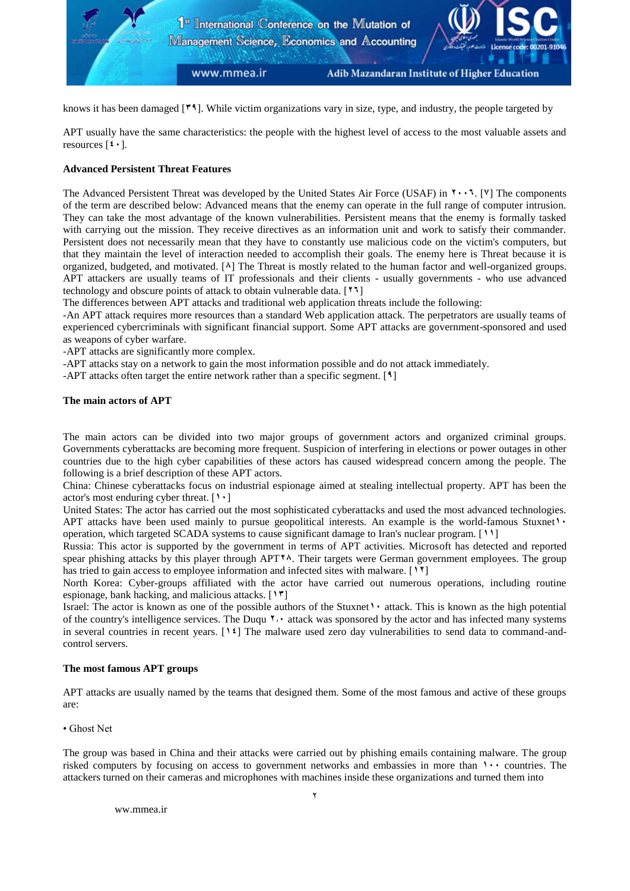

knows it has been damaged [**31**]. While victim organizations vary in size, type, and industry, the people targeted by

APT usually have the same characteristics: the people with the highest level of access to the most valuable assets and resources  $[4 \cdot]$ .

## **Advanced Persistent Threat Features**

The Advanced Persistent Threat was developed by the United States Air Force (USAF) in **2446**. [**2**] The components of the term are described below: Advanced means that the enemy can operate in the full range of computer intrusion. They can take the most advantage of the known vulnerabilities. Persistent means that the enemy is formally tasked with carrying out the mission. They receive directives as an information unit and work to satisfy their commander. Persistent does not necessarily mean that they have to constantly use malicious code on the victim's computers, but that they maintain the level of interaction needed to accomplish their goals. The enemy here is Threat because it is organized, budgeted, and motivated. [**8**] The Threat is mostly related to the human factor and well-organized groups. APT attackers are usually teams of IT professionals and their clients - usually governments - who use advanced technology and obscure points of attack to obtain vulnerable data. [**26**]

The differences between APT attacks and traditional web application threats include the following:

-An APT attack requires more resources than a standard Web application attack. The perpetrators are usually teams of experienced cybercriminals with significant financial support. Some APT attacks are government-sponsored and used as weapons of cyber warfare.

-APT attacks are significantly more complex.

-APT attacks stay on a network to gain the most information possible and do not attack immediately.

-APT attacks often target the entire network rather than a specific segment. [**1**]

#### **The main actors of APT**

The main actors can be divided into two major groups of government actors and organized criminal groups. Governments cyberattacks are becoming more frequent. Suspicion of interfering in elections or power outages in other countries due to the high cyber capabilities of these actors has caused widespread concern among the people. The following is a brief description of these APT actors.

China: Chinese cyberattacks focus on industrial espionage aimed at stealing intellectual property. APT has been the actor's most enduring cyber threat. [**14**]

United States: The actor has carried out the most sophisticated cyberattacks and used the most advanced technologies. APT attacks have been used mainly to pursue geopolitical interests. An example is the world-famous Stuxnet<sup>1</sup> • operation, which targeted SCADA systems to cause significant damage to Iran's nuclear program. [**11**]

Russia: This actor is supported by the government in terms of APT activities. Microsoft has detected and reported spear phishing attacks by this player through APT<sup>\*</sup><sup>8</sup>. Their targets were German government employees. The group has tried to gain access to employee information and infected sites with malware. [**12**]

North Korea: Cyber-groups affiliated with the actor have carried out numerous operations, including routine espionage, bank hacking, and malicious attacks. [**13**]

Israel: The actor is known as one of the possible authors of the Stuxnet<sup>1</sup> attack. This is known as the high potential of the country's intelligence services. The Duqu **7.** attack was sponsored by the actor and has infected many systems in several countries in recent years. [**14**] The malware used zero day vulnerabilities to send data to command-andcontrol servers.

#### **The most famous APT groups**

APT attacks are usually named by the teams that designed them. Some of the most famous and active of these groups are:

• Ghost Net

The group was based in China and their attacks were carried out by phishing emails containing malware. The group risked computers by focusing on access to government networks and embassies in more than **1...** countries. The attackers turned on their cameras and microphones with machines inside these organizations and turned them into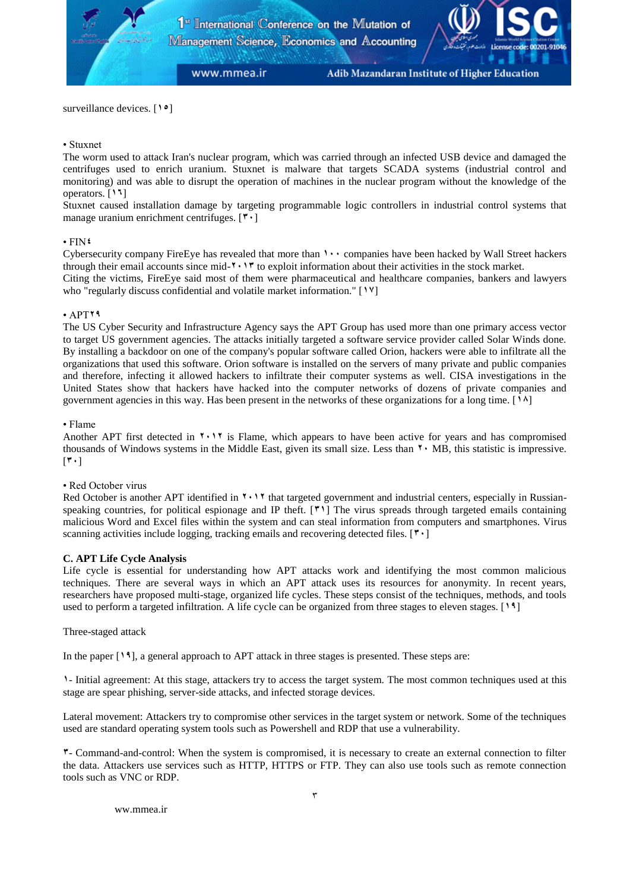surveillance devices. [**15**]

# • Stuxnet

The worm used to attack Iran's nuclear program, which was carried through an infected USB device and damaged the centrifuges used to enrich uranium. Stuxnet is malware that targets SCADA systems (industrial control and monitoring) and was able to disrupt the operation of machines in the nuclear program without the knowledge of the operators. [**16**]

Stuxnet caused installation damage by targeting programmable logic controllers in industrial control systems that manage uranium enrichment centrifuges. [**34**]

### $\cdot$ FIN<sup> $\sharp$ </sup>

Cybersecurity company FireEye has revealed that more than **1...** companies have been hacked by Wall Street hackers through their email accounts since mid-**2413** to exploit information about their activities in the stock market.

Citing the victims, FireEye said most of them were pharmaceutical and healthcare companies, bankers and lawyers who "regularly discuss confidential and volatile market information." [**12**]

### • APT**21**

The US Cyber Security and Infrastructure Agency says the APT Group has used more than one primary access vector to target US government agencies. The attacks initially targeted a software service provider called Solar Winds done. By installing a backdoor on one of the company's popular software called Orion, hackers were able to infiltrate all the organizations that used this software. Orion software is installed on the servers of many private and public companies and therefore, infecting it allowed hackers to infiltrate their computer systems as well. CISA investigations in the United States show that hackers have hacked into the computer networks of dozens of private companies and government agencies in this way. Has been present in the networks of these organizations for a long time. [**18**]

### • Flame

Another APT first detected in **<sup>1</sup>.** 1<sup>*\**</sup> is Flame, which appears to have been active for years and has compromised thousands of Windows systems in the Middle East, given its small size. Less than  $\mathbf{v} \cdot \mathbf{MB}$ , this statistic is impressive.  $[44]$ 

# • Red October virus

Red October is another APT identified in **<sup>1</sup>** 1<sup></sup> that targeted government and industrial centers, especially in Russianspeaking countries, for political espionage and IP theft. [**31**] The virus spreads through targeted emails containing malicious Word and Excel files within the system and can steal information from computers and smartphones. Virus scanning activities include logging, tracking emails and recovering detected files. [<sup> $\cdot$ </sup>]

# **C. APT Life Cycle Analysis**

Life cycle is essential for understanding how APT attacks work and identifying the most common malicious techniques. There are several ways in which an APT attack uses its resources for anonymity. In recent years, researchers have proposed multi-stage, organized life cycles. These steps consist of the techniques, methods, and tools used to perform a targeted infiltration. A life cycle can be organized from three stages to eleven stages. [**11**]

#### Three-staged attack

In the paper [**11**], a general approach to APT attack in three stages is presented. These steps are:

**1**- Initial agreement: At this stage, attackers try to access the target system. The most common techniques used at this stage are spear phishing, server-side attacks, and infected storage devices.

Lateral movement: Attackers try to compromise other services in the target system or network. Some of the techniques used are standard operating system tools such as Powershell and RDP that use a vulnerability.

**3**- Command-and-control: When the system is compromised, it is necessary to create an external connection to filter the data. Attackers use services such as HTTP, HTTPS or FTP. They can also use tools such as remote connection tools such as VNC or RDP.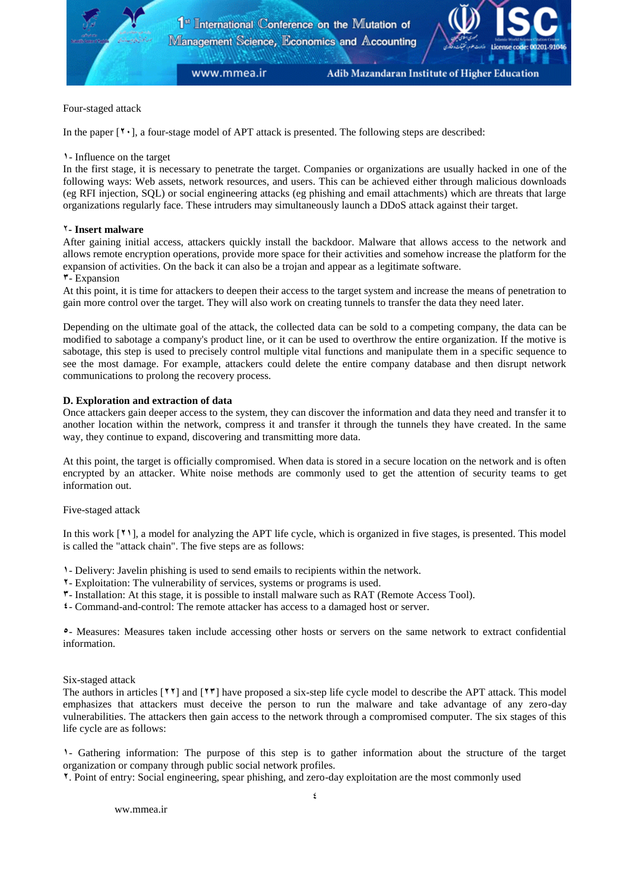

# Four-staged attack

In the paper [**24**], a four-stage model of APT attack is presented. The following steps are described:

### **1**- Influence on the target

In the first stage, it is necessary to penetrate the target. Companies or organizations are usually hacked in one of the following ways: Web assets, network resources, and users. This can be achieved either through malicious downloads (eg RFI injection, SQL) or social engineering attacks (eg phishing and email attachments) which are threats that large organizations regularly face. These intruders may simultaneously launch a DDoS attack against their target.

# 2**- Insert malware**

After gaining initial access, attackers quickly install the backdoor. Malware that allows access to the network and allows remote encryption operations, provide more space for their activities and somehow increase the platform for the expansion of activities. On the back it can also be a trojan and appear as a legitimate software.

### **3**- Expansion

At this point, it is time for attackers to deepen their access to the target system and increase the means of penetration to gain more control over the target. They will also work on creating tunnels to transfer the data they need later.

Depending on the ultimate goal of the attack, the collected data can be sold to a competing company, the data can be modified to sabotage a company's product line, or it can be used to overthrow the entire organization. If the motive is sabotage, this step is used to precisely control multiple vital functions and manipulate them in a specific sequence to see the most damage. For example, attackers could delete the entire company database and then disrupt network communications to prolong the recovery process.

### **D. Exploration and extraction of data**

Once attackers gain deeper access to the system, they can discover the information and data they need and transfer it to another location within the network, compress it and transfer it through the tunnels they have created. In the same way, they continue to expand, discovering and transmitting more data.

At this point, the target is officially compromised. When data is stored in a secure location on the network and is often encrypted by an attacker. White noise methods are commonly used to get the attention of security teams to get information out.

#### Five-staged attack

In this work [**21**], a model for analyzing the APT life cycle, which is organized in five stages, is presented. This model is called the "attack chain". The five steps are as follows:

**1**- Delivery: Javelin phishing is used to send emails to recipients within the network.

- **2** Exploitation: The vulnerability of services, systems or programs is used.
- **3** Installation: At this stage, it is possible to install malware such as RAT (Remote Access Tool).
- **4** Command-and-control: The remote attacker has access to a damaged host or server.

**5**- Measures: Measures taken include accessing other hosts or servers on the same network to extract confidential information.

Six-staged attack

The authors in articles [**22**] and [**23**] have proposed a six-step life cycle model to describe the APT attack. This model emphasizes that attackers must deceive the person to run the malware and take advantage of any zero-day vulnerabilities. The attackers then gain access to the network through a compromised computer. The six stages of this life cycle are as follows:

**1**- Gathering information: The purpose of this step is to gather information about the structure of the target organization or company through public social network profiles.

**2**. Point of entry: Social engineering, spear phishing, and zero-day exploitation are the most commonly used

[ww.mmea.ir](http://www.mmea.ir/fa/)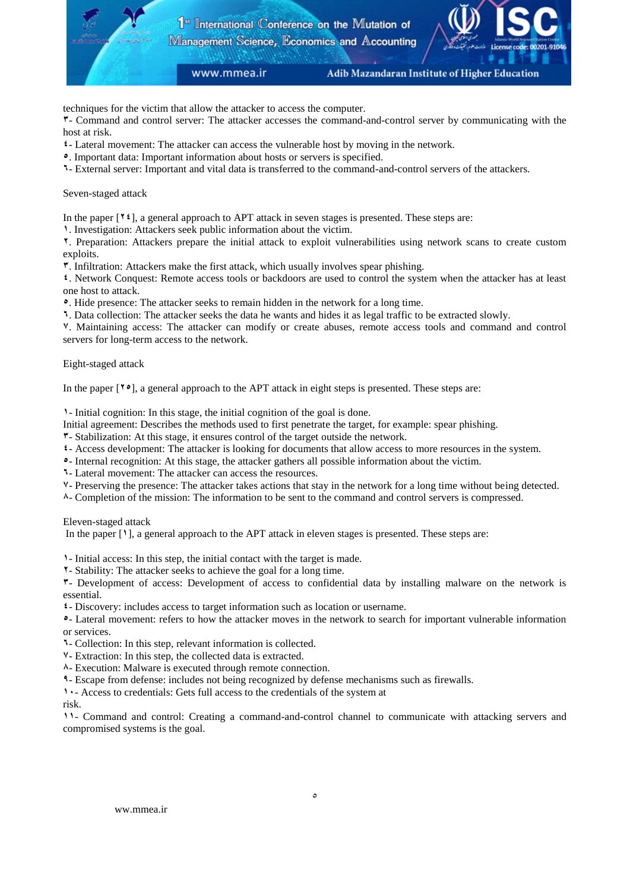

techniques for the victim that allow the attacker to access the computer.

- Command and control server: The attacker accesses the command-and-control server by communicating with the host at risk.

- Lateral movement: The attacker can access the vulnerable host by moving in the network.
- . Important data: Important information about hosts or servers is specified.
- External server: Important and vital data is transferred to the command-and-control servers of the attackers.

# Seven-staged attack

In the paper [ $\mathbf{Y}$  **i**], a general approach to APT attack in seven stages is presented. These steps are:

. Investigation: Attackers seek public information about the victim.

. Preparation: Attackers prepare the initial attack to exploit vulnerabilities using network scans to create custom exploits.

. Infiltration: Attackers make the first attack, which usually involves spear phishing.

. Network Conquest: Remote access tools or backdoors are used to control the system when the attacker has at least one host to attack.

. Hide presence: The attacker seeks to remain hidden in the network for a long time.

. Data collection: The attacker seeks the data he wants and hides it as legal traffic to be extracted slowly.

. Maintaining access: The attacker can modify or create abuses, remote access tools and command and control servers for long-term access to the network.

# Eight-staged attack

In the paper [**25**], a general approach to the APT attack in eight steps is presented. These steps are:

- Initial cognition: In this stage, the initial cognition of the goal is done.

- Initial agreement: Describes the methods used to first penetrate the target, for example: spear phishing.
- Stabilization: At this stage, it ensures control of the target outside the network.
- Access development: The attacker is looking for documents that allow access to more resources in the system.
- Internal recognition: At this stage, the attacker gathers all possible information about the victim.
- Lateral movement: The attacker can access the resources.
- Preserving the presence: The attacker takes actions that stay in the network for a long time without being detected.
- Completion of the mission: The information to be sent to the command and control servers is compressed.

Eleven-staged attack

In the paper [**1**], a general approach to the APT attack in eleven stages is presented. These steps are:

- Initial access: In this step, the initial contact with the target is made.

- Stability: The attacker seeks to achieve the goal for a long time.

- Development of access: Development of access to confidential data by installing malware on the network is essential.

- Discovery: includes access to target information such as location or username.

- Lateral movement: refers to how the attacker moves in the network to search for important vulnerable information or services.

- Collection: In this step, relevant information is collected.
- Extraction: In this step, the collected data is extracted.
- Execution: Malware is executed through remote connection.
- Escape from defense: includes not being recognized by defense mechanisms such as firewalls.

- Access to credentials: Gets full access to the credentials of the system at

risk.

- Command and control: Creating a command-and-control channel to communicate with attacking servers and compromised systems is the goal.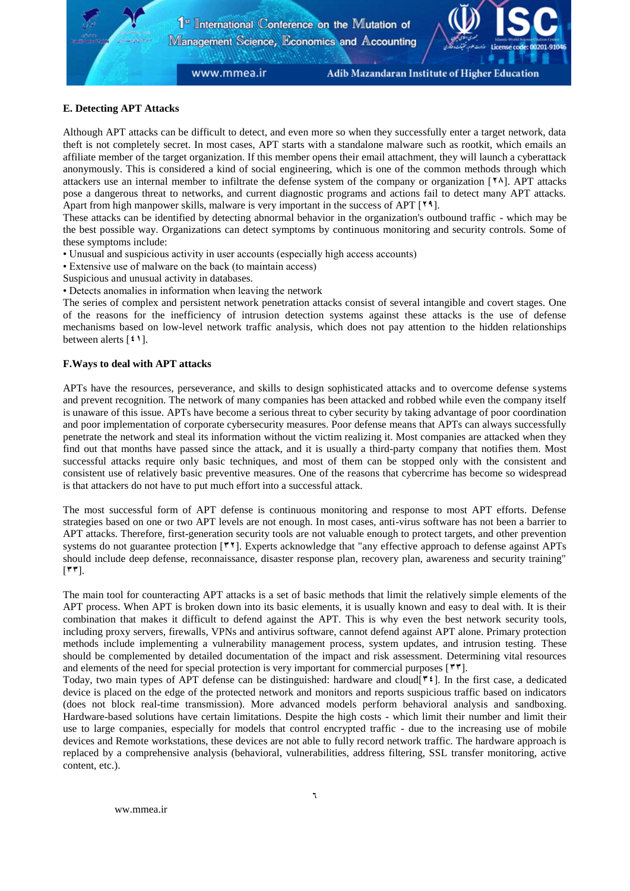# **E. Detecting APT Attacks**

Although APT attacks can be difficult to detect, and even more so when they successfully enter a target network, data theft is not completely secret. In most cases, APT starts with a standalone malware such as rootkit, which emails an affiliate member of the target organization. If this member opens their email attachment, they will launch a cyberattack anonymously. This is considered a kind of social engineering, which is one of the common methods through which attackers use an internal member to infiltrate the defense system of the company or organization [**28**]. APT attacks pose a dangerous threat to networks, and current diagnostic programs and actions fail to detect many APT attacks. Apart from high manpower skills, malware is very important in the success of APT [**21**].

These attacks can be identified by detecting abnormal behavior in the organization's outbound traffic - which may be the best possible way. Organizations can detect symptoms by continuous monitoring and security controls. Some of these symptoms include:

- Unusual and suspicious activity in user accounts (especially high access accounts)
- Extensive use of malware on the back (to maintain access)
- Suspicious and unusual activity in databases.
- Detects anomalies in information when leaving the network

The series of complex and persistent network penetration attacks consist of several intangible and covert stages. One of the reasons for the inefficiency of intrusion detection systems against these attacks is the use of defense mechanisms based on low-level network traffic analysis, which does not pay attention to the hidden relationships between alerts [**41**].

# **F.Ways to deal with APT attacks**

APTs have the resources, perseverance, and skills to design sophisticated attacks and to overcome defense systems and prevent recognition. The network of many companies has been attacked and robbed while even the company itself is unaware of this issue. APTs have become a serious threat to cyber security by taking advantage of poor coordination and poor implementation of corporate cybersecurity measures. Poor defense means that APTs can always successfully penetrate the network and steal its information without the victim realizing it. Most companies are attacked when they find out that months have passed since the attack, and it is usually a third-party company that notifies them. Most successful attacks require only basic techniques, and most of them can be stopped only with the consistent and consistent use of relatively basic preventive measures. One of the reasons that cybercrime has become so widespread is that attackers do not have to put much effort into a successful attack.

The most successful form of APT defense is continuous monitoring and response to most APT efforts. Defense strategies based on one or two APT levels are not enough. In most cases, anti-virus software has not been a barrier to APT attacks. Therefore, first-generation security tools are not valuable enough to protect targets, and other prevention systems do not guarantee protection  $\lceil \mathbf{''}\mathbf{''} \rceil$ . Experts acknowledge that "any effective approach to defense against APTs should include deep defense, reconnaissance, disaster response plan, recovery plan, awareness and security training"  $[\mathbf{r} \mathbf{r}]$ .

The main tool for counteracting APT attacks is a set of basic methods that limit the relatively simple elements of the APT process. When APT is broken down into its basic elements, it is usually known and easy to deal with. It is their combination that makes it difficult to defend against the APT. This is why even the best network security tools, including proxy servers, firewalls, VPNs and antivirus software, cannot defend against APT alone. Primary protection methods include implementing a vulnerability management process, system updates, and intrusion testing. These should be complemented by detailed documentation of the impact and risk assessment. Determining vital resources and elements of the need for special protection is very important for commercial purposes  $\lceil \cdot \cdot \cdot \rceil$ .

Today, two main types of APT defense can be distinguished: hardware and cloud<sup>[ $\star$ </sup><sup>2</sup>]. In the first case, a dedicated device is placed on the edge of the protected network and monitors and reports suspicious traffic based on indicators (does not block real-time transmission). More advanced models perform behavioral analysis and sandboxing. Hardware-based solutions have certain limitations. Despite the high costs - which limit their number and limit their use to large companies, especially for models that control encrypted traffic - due to the increasing use of mobile devices and Remote workstations, these devices are not able to fully record network traffic. The hardware approach is replaced by a comprehensive analysis (behavioral, vulnerabilities, address filtering, SSL transfer monitoring, active content, etc.).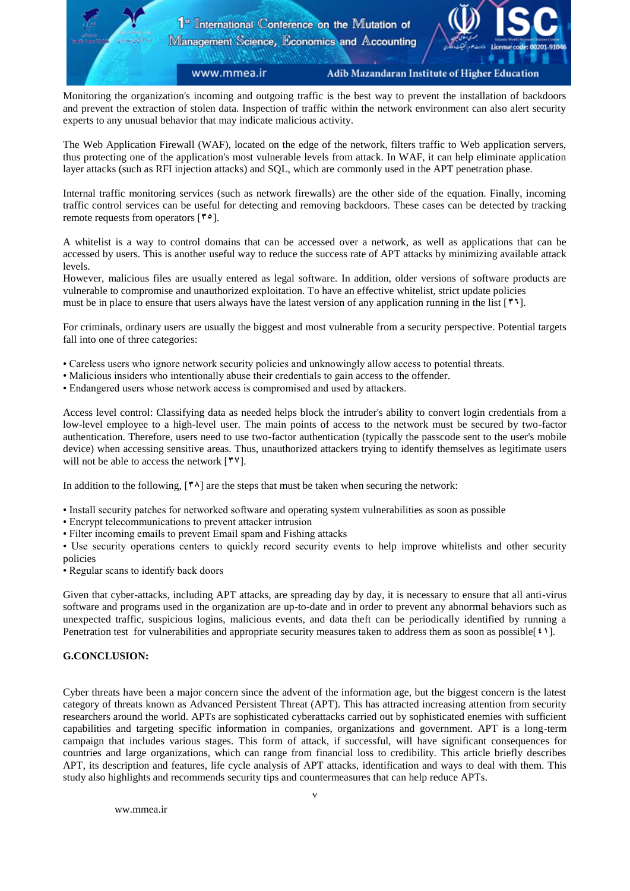Monitoring the organization's incoming and outgoing traffic is the best way to prevent the installation of backdoors and prevent the extraction of stolen data. Inspection of traffic within the network environment can also alert security experts to any unusual behavior that may indicate malicious activity.

The Web Application Firewall (WAF), located on the edge of the network, filters traffic to Web application servers, thus protecting one of the application's most vulnerable levels from attack. In WAF, it can help eliminate application layer attacks (such as RFI injection attacks) and SQL, which are commonly used in the APT penetration phase.

Internal traffic monitoring services (such as network firewalls) are the other side of the equation. Finally, incoming traffic control services can be useful for detecting and removing backdoors. These cases can be detected by tracking remote requests from operators [**35**].

A whitelist is a way to control domains that can be accessed over a network, as well as applications that can be accessed by users. This is another useful way to reduce the success rate of APT attacks by minimizing available attack levels.

However, malicious files are usually entered as legal software. In addition, older versions of software products are vulnerable to compromise and unauthorized exploitation. To have an effective whitelist, strict update policies must be in place to ensure that users always have the latest version of any application running in the list [ $\cdot$ ].

For criminals, ordinary users are usually the biggest and most vulnerable from a security perspective. Potential targets fall into one of three categories:

- Careless users who ignore network security policies and unknowingly allow access to potential threats.
- Malicious insiders who intentionally abuse their credentials to gain access to the offender.
- Endangered users whose network access is compromised and used by attackers.

Access level control: Classifying data as needed helps block the intruder's ability to convert login credentials from a low-level employee to a high-level user. The main points of access to the network must be secured by two-factor authentication. Therefore, users need to use two-factor authentication (typically the passcode sent to the user's mobile device) when accessing sensitive areas. Thus, unauthorized attackers trying to identify themselves as legitimate users will not be able to access the network  $[$ <sup> $\uparrow$ </sup> $\vee$ ].

In addition to the following,  $[<sup>{*</sup>^$ ]<sub>1</sub> are the steps that must be taken when securing the network:

- Install security patches for networked software and operating system vulnerabilities as soon as possible
- Encrypt telecommunications to prevent attacker intrusion
- Filter incoming emails to prevent Email spam and Fishing attacks

• Use security operations centers to quickly record security events to help improve whitelists and other security policies

• Regular scans to identify back doors

Given that cyber-attacks, including APT attacks, are spreading day by day, it is necessary to ensure that all anti-virus software and programs used in the organization are up-to-date and in order to prevent any abnormal behaviors such as unexpected traffic, suspicious logins, malicious events, and data theft can be periodically identified by running a Penetration test for vulnerabilities and appropriate security measures taken to address them as soon as possible[**41**].

# **G.CONCLUSION:**

Cyber threats have been a major concern since the advent of the information age, but the biggest concern is the latest category of threats known as Advanced Persistent Threat (APT). This has attracted increasing attention from security researchers around the world. APTs are sophisticated cyberattacks carried out by sophisticated enemies with sufficient capabilities and targeting specific information in companies, organizations and government. APT is a long-term campaign that includes various stages. This form of attack, if successful, will have significant consequences for countries and large organizations, which can range from financial loss to credibility. This article briefly describes APT, its description and features, life cycle analysis of APT attacks, identification and ways to deal with them. This study also highlights and recommends security tips and countermeasures that can help reduce APTs.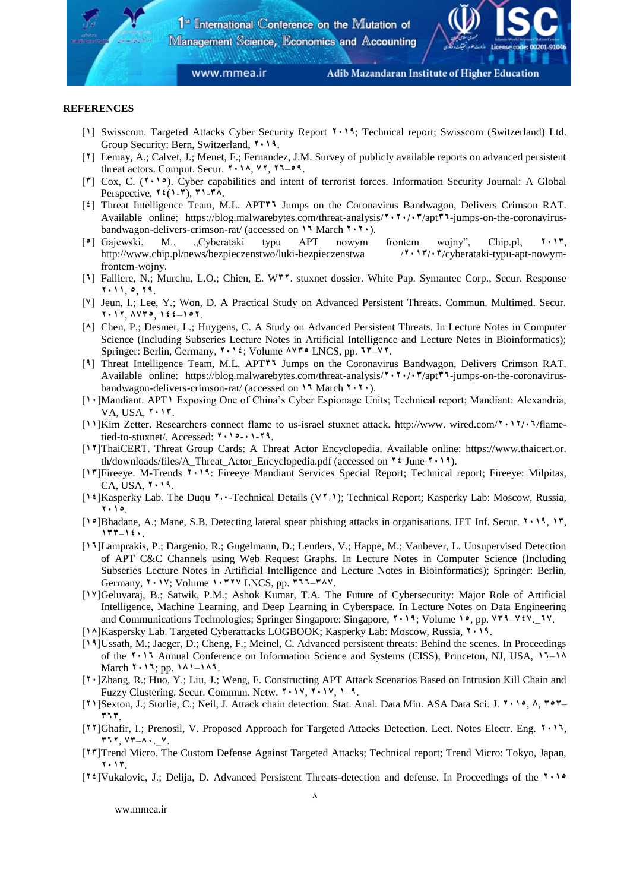www.mmea.ir

Adib Mazandaran Institute of Higher Education

#### **REFERENCES**

- [**1**] Swisscom. Targeted Attacks Cyber Security Report **2411**; Technical report; Swisscom (Switzerland) Ltd. Group Security: Bern, Switzerland, **2411**.
- [**2**] Lemay, A.; Calvet, J.; Menet, F.; Fernandez, J.M. Survey of publicly available reports on advanced persistent threat actors. Comput. Secur. **2418**, **22**, **26**–**51**.
- [**3**] Cox, C. (**2415**). Cyber capabilities and intent of terrorist forces. Information Security Journal: A Global Perspective,  $\mathbf{Y} \in (1-\mathbf{Y}), \mathbf{Y} \in \mathbf{Y}$ .
- [<sup>4</sup>] Threat Intelligence Team, M.L. APT<sup>\*</sup><sup>1</sup> Jumps on the Coronavirus Bandwagon, Delivers Crimson RAT. Available online: https://blog.malwarebytes.com/threat-analysis/ $\mathbf{X} \cdot \mathbf{Y} \cdot \mathbf{A} \cdot \mathbf{Y}$ /apt $\mathbf{Y} \cdot \mathbf{I}$ -jumps-on-the-coronavirusbandwagon-delivers-crimson-rat/ (accessed on **15** March **1.1.**).
- [**5**] Gajewski, M., "Cyberataki typu APT nowym frontem wojny", Chip.pl, **2413**, http://www.chip.pl/news/bezpieczenstwo/luki-bezpieczenstwa /**2413243**/cyberataki-typu-apt-nowymfrontem-wojny.
- [**6**] Falliere, N.; Murchu, L.O.; Chien, E. W**32**. stuxnet dossier. White Pap. Symantec Corp., Secur. Response **2411**, **5**, **21**.
- [**2**] Jeun, I.; Lee, Y.; Won, D. A Practical Study on Advanced Persistent Threats. Commun. Multimed. Secur. **2412**, **8235**, **144**–**152**.
- [**8**] Chen, P.; Desmet, L.; Huygens, C. A Study on Advanced Persistent Threats. In Lecture Notes in Computer Science (Including Subseries Lecture Notes in Artificial Intelligence and Lecture Notes in Bioinformatics); Springer: Berlin, Germany, **2414**; Volume **8235** LNCS, pp. **63**–**22**.
- [**1**] Threat Intelligence Team, M.L. APT**36** Jumps on the Coronavirus Bandwagon, Delivers Crimson RAT. Available online: https://blog.malwarebytes.com/threat-analysis/**<sup>2</sup><sup>4</sup>**/ $\cdot$ **7**/apt<sup>\*</sup>**1**-jumps-on-the-coronavirusbandwagon-delivers-crimson-rat/ (accessed on **15** March **1.1.**).
- [**14**]Mandiant. APT**1** Exposing One of China's Cyber Espionage Units; Technical report; Mandiant: Alexandria, VA, USA, **2413**.
- [**11**]Kim Zetter. Researchers connect flame to us-israel stuxnet attack. http://www. wired.com/**2412246**/flametied-to-stuxnet/. Accessed: **2415**-**41**-**21**.
- [**12**]ThaiCERT. Threat Group Cards: A Threat Actor Encyclopedia. Available online: https://www.thaicert.or. th/downloads/files/A\_Threat\_Actor\_Encyclopedia.pdf (accessed on **24** June **2411**).
- [**13**]Fireeye. M-Trends **2411**: Fireeye Mandiant Services Special Report; Technical report; Fireeye: Milpitas,  $CA, USA, 111.$
- [**14**]Kasperky Lab. The Duqu **2.4**-Technical Details (V**2.1**); Technical Report; Kasperky Lab: Moscow, Russia, **2415**.
- [**15**]Bhadane, A.; Mane, S.B. Detecting lateral spear phishing attacks in organisations. IET Inf. Secur. **2411**, **13**, **133**–**144**.
- [**16**]Lamprakis, P.; Dargenio, R.; Gugelmann, D.; Lenders, V.; Happe, M.; Vanbever, L. Unsupervised Detection of APT C&C Channels using Web Request Graphs. In Lecture Notes in Computer Science (Including Subseries Lecture Notes in Artificial Intelligence and Lecture Notes in Bioinformatics); Springer: Berlin, Germany, **2412**; Volume **14322** LNCS, pp. **366**–**382**.
- [**12**]Geluvaraj, B.; Satwik, P.M.; Ashok Kumar, T.A. The Future of Cybersecurity: Major Role of Artificial Intelligence, Machine Learning, and Deep Learning in Cyberspace. In Lecture Notes on Data Engineering and Communications Technologies; Springer Singapore: Singapore, **2411**; Volume **15**, pp. **231**–**242**.\_**62**.
- [**18**]Kaspersky Lab. Targeted Cyberattacks LOGBOOK; Kasperky Lab: Moscow, Russia, **2411**.
- [**11**]Ussath, M.; Jaeger, D.; Cheng, F.; Meinel, C. Advanced persistent threats: Behind the scenes. In Proceedings of the **2416** Annual Conference on Information Science and Systems (CISS), Princeton, NJ, USA, **16**–**18** March **2416**; pp. **181**–**186**.
- [**24**]Zhang, R.; Huo, Y.; Liu, J.; Weng, F. Constructing APT Attack Scenarios Based on Intrusion Kill Chain and Fuzzy Clustering. Secur. Commun. Netw. **2412**, **2412**, **1**–**1**.
- [**21**]Sexton, J.; Storlie, C.; Neil, J. Attack chain detection. Stat. Anal. Data Min. ASA Data Sci. J. **2415**, **8**, **353**  $\mathbf{r}$
- [**22**]Ghafir, I.; Prenosil, V. Proposed Approach for Targeted Attacks Detection. Lect. Notes Electr. Eng. **2416**, **362**, **23**–**84**.\_**2**.
- [**23**]Trend Micro. The Custom Defense Against Targeted Attacks; Technical report; Trend Micro: Tokyo, Japan, **2413**.
- [**24**]Vukalovic, J.; Delija, D. Advanced Persistent Threats-detection and defense. In Proceedings of the **2415**

[ww.mmea.ir](http://www.mmea.ir/fa/)